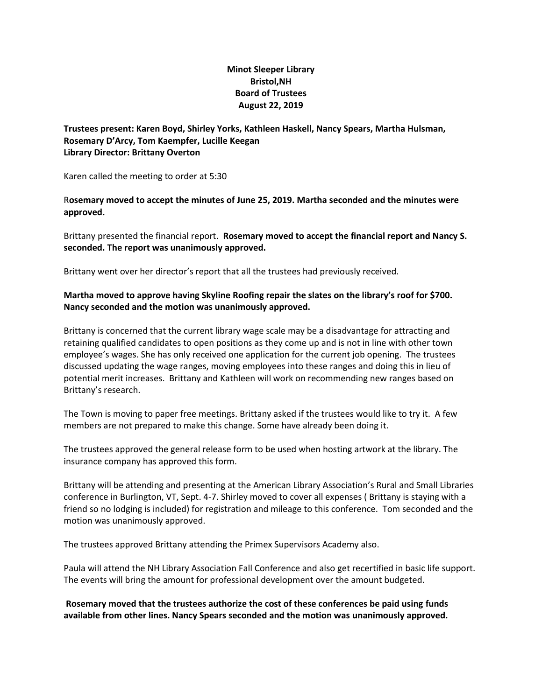## **Minot Sleeper Library Bristol,NH Board of Trustees August 22, 2019**

**Trustees present: Karen Boyd, Shirley Yorks, Kathleen Haskell, Nancy Spears, Martha Hulsman, Rosemary D'Arcy, Tom Kaempfer, Lucille Keegan Library Director: Brittany Overton**

Karen called the meeting to order at 5:30

R**osemary moved to accept the minutes of June 25, 2019. Martha seconded and the minutes were approved.**

Brittany presented the financial report. **Rosemary moved to accept the financial report and Nancy S. seconded. The report was unanimously approved.**

Brittany went over her director's report that all the trustees had previously received.

## **Martha moved to approve having Skyline Roofing repair the slates on the library's roof for \$700. Nancy seconded and the motion was unanimously approved.**

Brittany is concerned that the current library wage scale may be a disadvantage for attracting and retaining qualified candidates to open positions as they come up and is not in line with other town employee's wages. She has only received one application for the current job opening. The trustees discussed updating the wage ranges, moving employees into these ranges and doing this in lieu of potential merit increases. Brittany and Kathleen will work on recommending new ranges based on Brittany's research.

The Town is moving to paper free meetings. Brittany asked if the trustees would like to try it. A few members are not prepared to make this change. Some have already been doing it.

The trustees approved the general release form to be used when hosting artwork at the library. The insurance company has approved this form.

Brittany will be attending and presenting at the American Library Association's Rural and Small Libraries conference in Burlington, VT, Sept. 4-7. Shirley moved to cover all expenses ( Brittany is staying with a friend so no lodging is included) for registration and mileage to this conference. Tom seconded and the motion was unanimously approved.

The trustees approved Brittany attending the Primex Supervisors Academy also.

Paula will attend the NH Library Association Fall Conference and also get recertified in basic life support. The events will bring the amount for professional development over the amount budgeted.

**Rosemary moved that the trustees authorize the cost of these conferences be paid using funds available from other lines. Nancy Spears seconded and the motion was unanimously approved.**